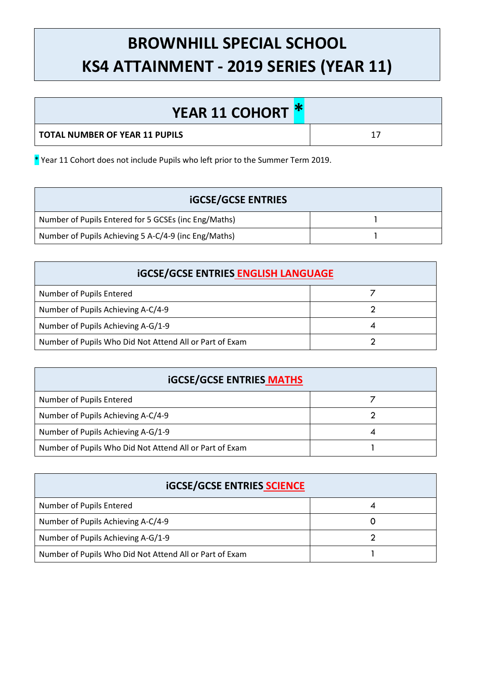## **BROWNHILL SPECIAL SCHOOL KS4 ATTAINMENT - 2019 SERIES (YEAR 11)**

| <b>YEAR 11 COHORT *</b>        |  |
|--------------------------------|--|
| TOTAL NUMBER OF YEAR 11 PUPILS |  |

\* Year 11 Cohort does not include Pupils who left prior to the Summer Term 2019.

| <b>iGCSE/GCSE ENTRIES</b>                            |  |
|------------------------------------------------------|--|
| Number of Pupils Entered for 5 GCSEs (inc Eng/Maths) |  |
| Number of Pupils Achieving 5 A-C/4-9 (inc Eng/Maths) |  |

| <b>iGCSE/GCSE ENTRIES ENGLISH LANGUAGE</b>              |  |  |
|---------------------------------------------------------|--|--|
| Number of Pupils Entered                                |  |  |
| Number of Pupils Achieving A-C/4-9                      |  |  |
| Number of Pupils Achieving A-G/1-9                      |  |  |
| Number of Pupils Who Did Not Attend All or Part of Exam |  |  |

| <b>iGCSE/GCSE ENTRIES MATHS</b>                         |  |  |
|---------------------------------------------------------|--|--|
| Number of Pupils Entered                                |  |  |
| Number of Pupils Achieving A-C/4-9                      |  |  |
| Number of Pupils Achieving A-G/1-9                      |  |  |
| Number of Pupils Who Did Not Attend All or Part of Exam |  |  |

| <b>iGCSE/GCSE ENTRIES SCIENCE</b>                       |  |  |
|---------------------------------------------------------|--|--|
| Number of Pupils Entered                                |  |  |
| Number of Pupils Achieving A-C/4-9                      |  |  |
| Number of Pupils Achieving A-G/1-9                      |  |  |
| Number of Pupils Who Did Not Attend All or Part of Exam |  |  |